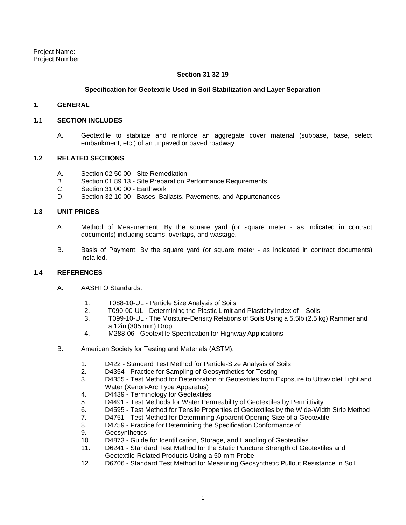Project Name: Project Number:

### **Section 31 32 19**

### **Specification for Geotextile Used in Soil Stabilization and Layer Separation**

### **1. GENERAL**

#### **1.1 SECTION INCLUDES**

A. Geotextile to stabilize and reinforce an aggregate cover material (subbase, base, select embankment, etc.) of an unpaved or paved roadway.

## **1.2 RELATED SECTIONS**

- A. Section 02 50 00 Site Remediation
- B. Section 01 89 13 Site Preparation Performance Requirements
- C. Section 31 00 00 Earthwork
- D. Section 32 10 00 Bases, Ballasts, Pavements, and Appurtenances

### **1.3 UNIT PRICES**

- A. Method of Measurement: By the square yard (or square meter as indicated in contract documents) including seams, overlaps, and wastage.
- B. Basis of Payment: By the square yard (or square meter as indicated in contract documents) installed.

### **1.4 REFERENCES**

- A. AASHTO Standards:
	- 1. T088-10-UL Particle Size Analysis of Soils
	- 2. T090-00-UL Determining the Plastic Limit and Plasticity Index of Soils<br>3. T099-10-UL The Moisture-Density Relations of Soils Using a 5.5lb (2.5 k
	- 3. T099-10-UL The Moisture-Density Relations of Soils Using a 5.5lb (2.5 kg) Rammer and a 12in (305 mm) Drop.
	- 4. M288-06 Geotextile Specification for Highway Applications
- B. American Society for Testing and Materials (ASTM):
	- 1. D422 Standard Test Method for Particle-Size Analysis of Soils
	- 2. D4354 Practice for Sampling of Geosynthetics for Testing
	- 3. D4355 Test Method for Deterioration of Geotextiles from Exposure to Ultraviolet Light and Water (Xenon-Arc Type Apparatus)
	- 4. D4439 Terminology for Geotextiles
	- 5. D4491 Test Methods for Water Permeability of Geotextiles by Permittivity
	- 6. D4595 Test Method for Tensile Properties of Geotextiles by the Wide-Width Strip Method
	- 7. D4751 Test Method for Determining Apparent Opening Size of a Geotextile
	- 8. D4759 Practice for Determining the Specification Conformance of
	- 9. Geosynthetics
	- 10. D4873 Guide for Identification, Storage, and Handling of Geotextiles
	- 11. D6241 Standard Test Method for the Static Puncture Strength of Geotextiles and Geotextile-Related Products Using a 50-mm Probe
	- 12. D6706 Standard Test Method for Measuring Geosynthetic Pullout Resistance in Soil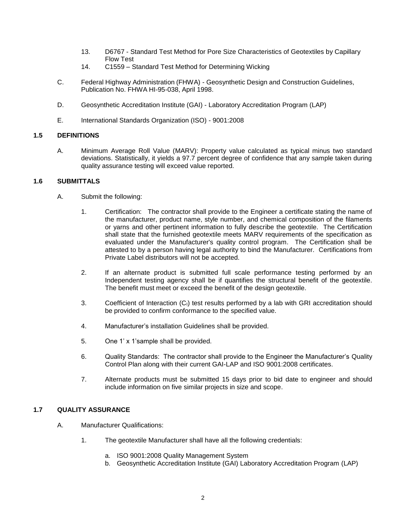- 13. D6767 Standard Test Method for Pore Size Characteristics of Geotextiles by Capillary Flow Test
- 14. C1559 Standard Test Method for Determining Wicking
- C. Federal Highway Administration (FHWA) Geosynthetic Design and Construction Guidelines, Publication No. FHWA HI-95-038, April 1998.
- D. Geosynthetic Accreditation Institute (GAI) Laboratory Accreditation Program (LAP)
- E. International Standards Organization (ISO) 9001:2008

## **1.5 DEFINITIONS**

A. Minimum Average Roll Value (MARV): Property value calculated as typical minus two standard deviations. Statistically, it yields a 97.7 percent degree of confidence that any sample taken during quality assurance testing will exceed value reported.

## **1.6 SUBMITTALS**

- A. Submit the following:
	- 1. Certification: The contractor shall provide to the Engineer a certificate stating the name of the manufacturer, product name, style number, and chemical composition of the filaments or yarns and other pertinent information to fully describe the geotextile. The Certification shall state that the furnished geotextile meets MARV requirements of the specification as evaluated under the Manufacturer's quality control program. The Certification shall be attested to by a person having legal authority to bind the Manufacturer. Certifications from Private Label distributors will not be accepted.
	- 2. If an alternate product is submitted full scale performance testing performed by an Independent testing agency shall be if quantifies the structural benefit of the geotextile. The benefit must meet or exceed the benefit of the design geotextile.
	- 3. Coefficient of Interaction (C<sub>I</sub>) test results performed by a lab with GRI accreditation should be provided to confirm conformance to the specified value.
	- 4. Manufacturer's installation Guidelines shall be provided.
	- 5. One 1' x 1'sample shall be provided.
	- 6. Quality Standards: The contractor shall provide to the Engineer the Manufacturer's Quality Control Plan along with their current GAI-LAP and ISO 9001:2008 certificates.
	- 7. Alternate products must be submitted 15 days prior to bid date to engineer and should include information on five similar projects in size and scope.

## **1.7 QUALITY ASSURANCE**

- A. Manufacturer Qualifications:
	- 1. The geotextile Manufacturer shall have all the following credentials:
		- a. ISO 9001:2008 Quality Management System
		- b. Geosynthetic Accreditation Institute (GAI) Laboratory Accreditation Program (LAP)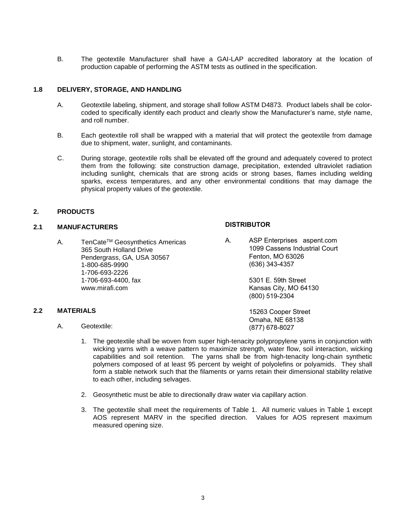B. The geotextile Manufacturer shall have a GAI-LAP accredited laboratory at the location of production capable of performing the ASTM tests as outlined in the specification.

### **1.8 DELIVERY, STORAGE, AND HANDLING**

- A. Geotextile labeling, shipment, and storage shall follow ASTM D4873. Product labels shall be colorcoded to specifically identify each product and clearly show the Manufacturer's name, style name, and roll number.
- B. Each geotextile roll shall be wrapped with a material that will protect the geotextile from damage due to shipment, water, sunlight, and contaminants.
- C. During storage, geotextile rolls shall be elevated off the ground and adequately covered to protect them from the following: site construction damage, precipitation, extended ultraviolet radiation including sunlight, chemicals that are strong acids or strong bases, flames including welding sparks, excess temperatures, and any other environmental conditions that may damage the physical property values of the geotextile.

## **2. PRODUCTS**

### **2.1 MANUFACTURERS**

A. TenCate™ Geosynthetics Americas 365 South Holland Drive Pendergrass, GA, USA 30567 1-800-685-9990 1-706-693-2226 1-706-693-4400, fax www.mirafi.com

### **DISTRIBUTOR**

A. ASP Enterprises aspent.com 1099 Cassens Industrial Court Fenton, MO 63026 (636) 343-4357

> 5301 E. 59th Street Kansas City, MO 64130 (800) 519-2304

 15263 Cooper Street Omaha, NE 68138 (877) 678-8027

A. Geotextile:

**2.2 MATERIALS**

- 1. The geotextile shall be woven from super high-tenacity polypropylene yarns in conjunction with wicking yarns with a weave pattern to maximize strength, water flow, soil interaction, wicking capabilities and soil retention. The yarns shall be from high-tenacity long-chain synthetic polymers composed of at least 95 percent by weight of polyolefins or polyamids. They shall form a stable network such that the filaments or yarns retain their dimensional stability relative to each other, including selvages.
- 2. Geosynthetic must be able to directionally draw water via capillary action.
- 3. The geotextile shall meet the requirements of Table 1. All numeric values in Table 1 except AOS represent MARV in the specified direction. Values for AOS represent maximum measured opening size.